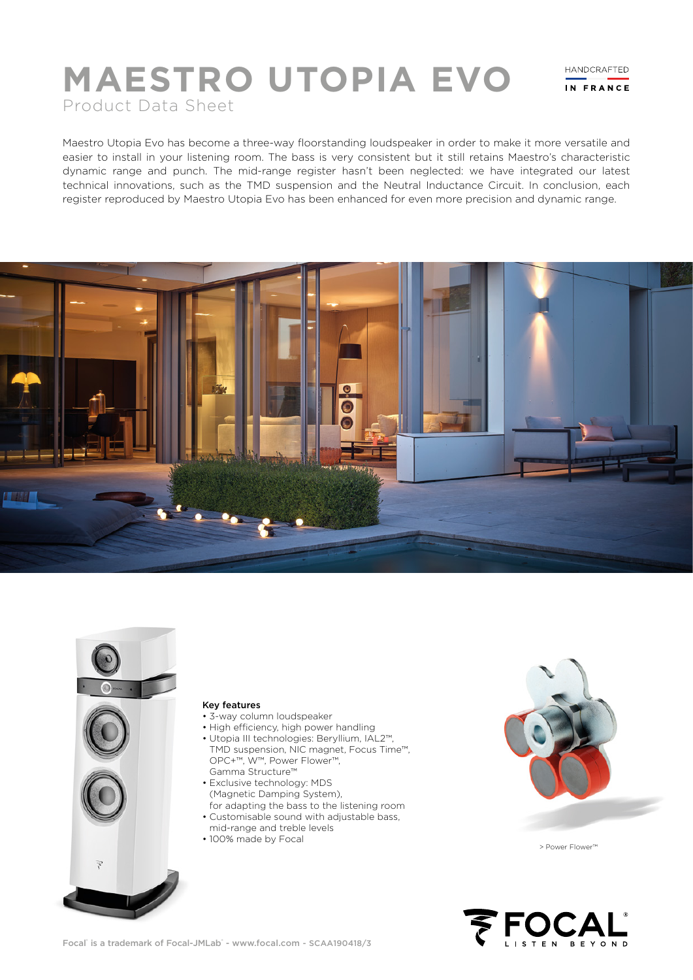# **MAESTRO UTOPIA EVO** Product Data Sheet

HANDCRAFTED IN FRANCE

Maestro Utopia Evo has become a three-way floorstanding loudspeaker in order to make it more versatile and easier to install in your listening room. The bass is very consistent but it still retains Maestro's characteristic dynamic range and punch. The mid-range register hasn't been neglected: we have integrated our latest technical innovations, such as the TMD suspension and the Neutral Inductance Circuit. In conclusion, each register reproduced by Maestro Utopia Evo has been enhanced for even more precision and dynamic range.





# Key features

- 3-way column loudspeaker
- High efficiency, high power handling
- Utopia III technologies: Beryllium, IAL2™, TMD suspension, NIC magnet, Focus Time™, OPC+™, W™, Power Flower™, Gamma Structure™
- Exclusive technology: MDS (Magnetic Damping System), for adapting the bass to the listening room • Customisable sound with adjustable bass,
- mid-range and treble levels
- 100% made by Focal



> Power Flower™